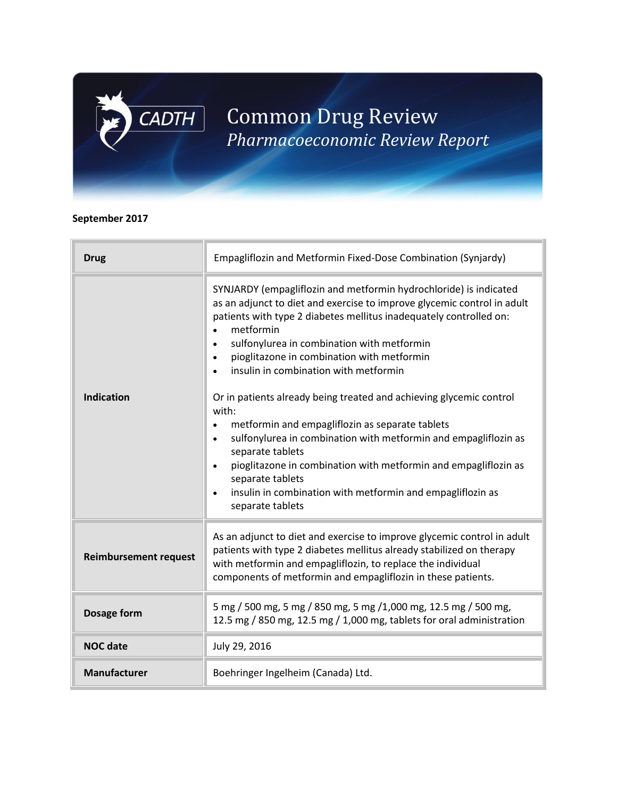# Common Drug Review *Pharmacoeconomic Review Report*

# **September 2017**

 $CADTH$ 

| <b>Drug</b>                  | Empagliflozin and Metformin Fixed-Dose Combination (Synjardy)                                                                                                                                                                                                                                                                                                                                                                                                                                                                                                                                                                                                                                                                                                                                                                                         |
|------------------------------|-------------------------------------------------------------------------------------------------------------------------------------------------------------------------------------------------------------------------------------------------------------------------------------------------------------------------------------------------------------------------------------------------------------------------------------------------------------------------------------------------------------------------------------------------------------------------------------------------------------------------------------------------------------------------------------------------------------------------------------------------------------------------------------------------------------------------------------------------------|
| <b>Indication</b>            | SYNJARDY (empagliflozin and metformin hydrochloride) is indicated<br>as an adjunct to diet and exercise to improve glycemic control in adult<br>patients with type 2 diabetes mellitus inadequately controlled on:<br>metformin<br>$\bullet$<br>sulfonylurea in combination with metformin<br>pioglitazone in combination with metformin<br>$\bullet$<br>insulin in combination with metformin<br>$\bullet$<br>Or in patients already being treated and achieving glycemic control<br>with:<br>metformin and empagliflozin as separate tablets<br>sulfonylurea in combination with metformin and empagliflozin as<br>$\bullet$<br>separate tablets<br>pioglitazone in combination with metformin and empagliflozin as<br>$\bullet$<br>separate tablets<br>insulin in combination with metformin and empagliflozin as<br>$\bullet$<br>separate tablets |
| <b>Reimbursement request</b> | As an adjunct to diet and exercise to improve glycemic control in adult<br>patients with type 2 diabetes mellitus already stabilized on therapy<br>with metformin and empagliflozin, to replace the individual<br>components of metformin and empagliflozin in these patients.                                                                                                                                                                                                                                                                                                                                                                                                                                                                                                                                                                        |
| Dosage form                  | 5 mg / 500 mg, 5 mg / 850 mg, 5 mg /1,000 mg, 12.5 mg / 500 mg,<br>12.5 mg / 850 mg, 12.5 mg / 1,000 mg, tablets for oral administration                                                                                                                                                                                                                                                                                                                                                                                                                                                                                                                                                                                                                                                                                                              |
| <b>NOC date</b>              | July 29, 2016                                                                                                                                                                                                                                                                                                                                                                                                                                                                                                                                                                                                                                                                                                                                                                                                                                         |
| <b>Manufacturer</b>          | Boehringer Ingelheim (Canada) Ltd.                                                                                                                                                                                                                                                                                                                                                                                                                                                                                                                                                                                                                                                                                                                                                                                                                    |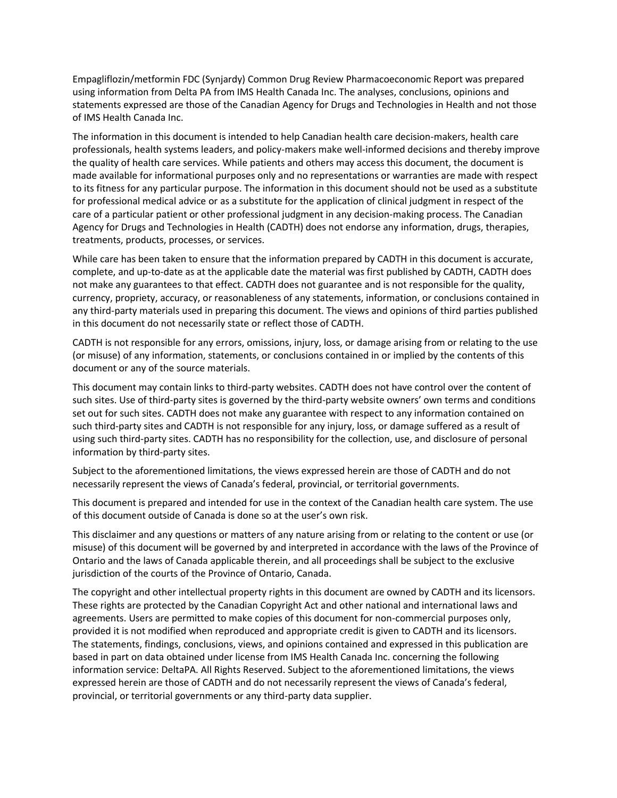Empagliflozin/metformin FDC (Synjardy) Common Drug Review Pharmacoeconomic Report was prepared using information from Delta PA from IMS Health Canada Inc. The analyses, conclusions, opinions and statements expressed are those of the Canadian Agency for Drugs and Technologies in Health and not those of IMS Health Canada Inc.

The information in this document is intended to help Canadian health care decision-makers, health care professionals, health systems leaders, and policy-makers make well-informed decisions and thereby improve the quality of health care services. While patients and others may access this document, the document is made available for informational purposes only and no representations or warranties are made with respect to its fitness for any particular purpose. The information in this document should not be used as a substitute for professional medical advice or as a substitute for the application of clinical judgment in respect of the care of a particular patient or other professional judgment in any decision-making process. The Canadian Agency for Drugs and Technologies in Health (CADTH) does not endorse any information, drugs, therapies, treatments, products, processes, or services.

While care has been taken to ensure that the information prepared by CADTH in this document is accurate, complete, and up-to-date as at the applicable date the material was first published by CADTH, CADTH does not make any guarantees to that effect. CADTH does not guarantee and is not responsible for the quality, currency, propriety, accuracy, or reasonableness of any statements, information, or conclusions contained in any third-party materials used in preparing this document. The views and opinions of third parties published in this document do not necessarily state or reflect those of CADTH.

CADTH is not responsible for any errors, omissions, injury, loss, or damage arising from or relating to the use (or misuse) of any information, statements, or conclusions contained in or implied by the contents of this document or any of the source materials.

This document may contain links to third-party websites. CADTH does not have control over the content of such sites. Use of third-party sites is governed by the third-party website owners' own terms and conditions set out for such sites. CADTH does not make any guarantee with respect to any information contained on such third-party sites and CADTH is not responsible for any injury, loss, or damage suffered as a result of using such third-party sites. CADTH has no responsibility for the collection, use, and disclosure of personal information by third-party sites.

Subject to the aforementioned limitations, the views expressed herein are those of CADTH and do not necessarily represent the views of Canada's federal, provincial, or territorial governments.

This document is prepared and intended for use in the context of the Canadian health care system. The use of this document outside of Canada is done so at the user's own risk.

This disclaimer and any questions or matters of any nature arising from or relating to the content or use (or misuse) of this document will be governed by and interpreted in accordance with the laws of the Province of Ontario and the laws of Canada applicable therein, and all proceedings shall be subject to the exclusive jurisdiction of the courts of the Province of Ontario, Canada.

The copyright and other intellectual property rights in this document are owned by CADTH and its licensors. These rights are protected by the Canadian Copyright Act and other national and international laws and agreements. Users are permitted to make copies of this document for non-commercial purposes only, provided it is not modified when reproduced and appropriate credit is given to CADTH and its licensors. The statements, findings, conclusions, views, and opinions contained and expressed in this publication are based in part on data obtained under license from IMS Health Canada Inc. concerning the following information service: DeltaPA. All Rights Reserved. Subject to the aforementioned limitations, the views expressed herein are those of CADTH and do not necessarily represent the views of Canada's federal, provincial, or territorial governments or any third-party data supplier.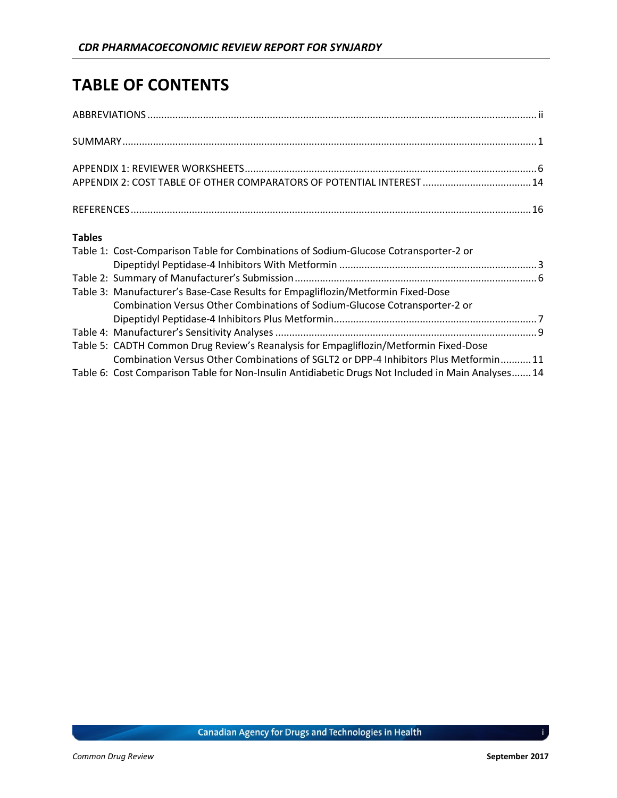# **TABLE OF CONTENTS**

|               | APPENDIX 2: COST TABLE OF OTHER COMPARATORS OF POTENTIAL INTEREST  14                 |  |
|---------------|---------------------------------------------------------------------------------------|--|
|               |                                                                                       |  |
| <b>Tables</b> |                                                                                       |  |
|               | Table 1: Cost-Comparison Table for Combinations of Sodium-Glucose Cotransporter-2 or  |  |
|               |                                                                                       |  |
|               |                                                                                       |  |
|               | Table 3: Manufacturer's Base-Case Results for Empagliflozin/Metformin Fixed-Dose      |  |
|               | Combination Versus Other Combinations of Sodium-Glucose Cotransporter-2 or            |  |
|               |                                                                                       |  |
|               |                                                                                       |  |
|               | Table 5: CADTH Common Drug Review's Reanalysis for Empagliflozin/Metformin Fixed-Dose |  |
|               | Combination Versus Other Combinations of SGLT2 or DPP-4 Inhibitors Plus Metformin 11  |  |

Table 6: Cost Comparison Table for Non-Insulin Antidiabetic Drugs Not Included in Main Analyses.......14

i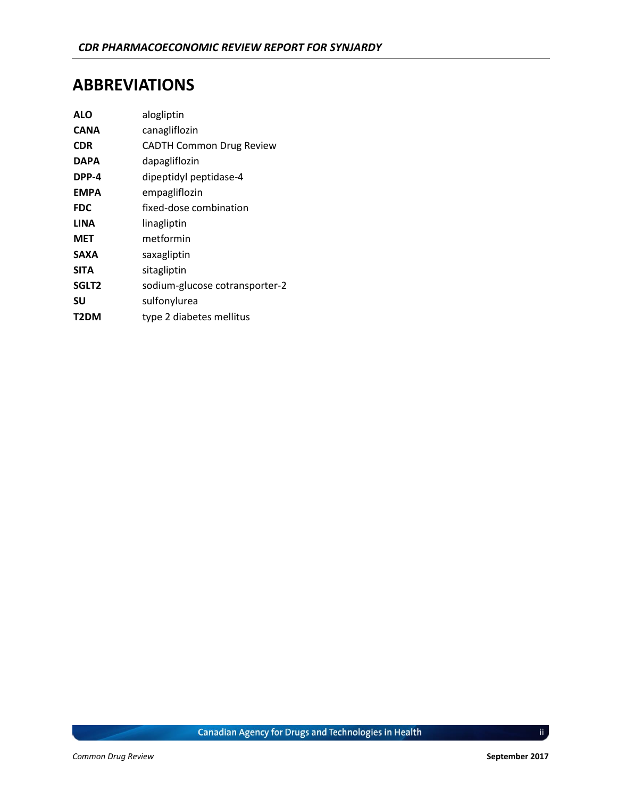# <span id="page-3-0"></span>**ABBREVIATIONS**

| <b>ALO</b>        | alogliptin                      |
|-------------------|---------------------------------|
| <b>CANA</b>       | canagliflozin                   |
| <b>CDR</b>        | <b>CADTH Common Drug Review</b> |
| <b>DAPA</b>       | dapagliflozin                   |
| DPP-4             | dipeptidyl peptidase-4          |
| <b>EMPA</b>       | empagliflozin                   |
| <b>FDC</b>        | fixed-dose combination          |
| <b>LINA</b>       | linagliptin                     |
| <b>MET</b>        | metformin                       |
| <b>SAXA</b>       | saxagliptin                     |
| <b>SITA</b>       | sitagliptin                     |
| SGLT <sub>2</sub> | sodium-glucose cotransporter-2  |
| SU                | sulfonylurea                    |
| T2DM              | type 2 diabetes mellitus        |

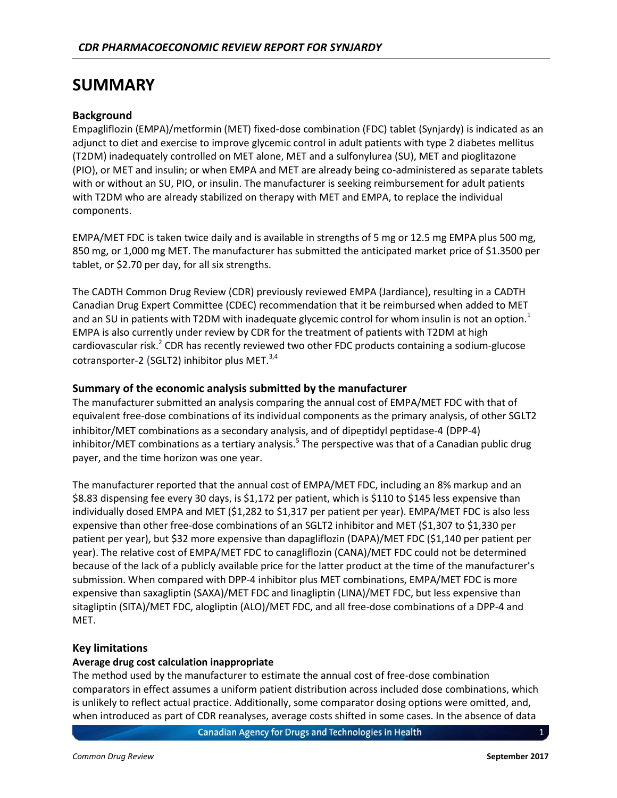# <span id="page-4-0"></span>**SUMMARY**

#### **Background**

Empagliflozin (EMPA)/metformin (MET) fixed-dose combination (FDC) tablet (Synjardy) is indicated as an adjunct to diet and exercise to improve glycemic control in adult patients with type 2 diabetes mellitus (T2DM) inadequately controlled on MET alone, MET and a sulfonylurea (SU), MET and pioglitazone (PIO), or MET and insulin; or when EMPA and MET are already being co-administered as separate tablets with or without an SU, PIO, or insulin. The manufacturer is seeking reimbursement for adult patients with T2DM who are already stabilized on therapy with MET and EMPA, to replace the individual components.

EMPA/MET FDC is taken twice daily and is available in strengths of 5 mg or 12.5 mg EMPA plus 500 mg, 850 mg, or 1,000 mg MET. The manufacturer has submitted the anticipated market price of \$1.3500 per tablet, or \$2.70 per day, for all six strengths.

The CADTH Common Drug Review (CDR) previously reviewed EMPA (Jardiance), resulting in a CADTH Canadian Drug Expert Committee (CDEC) recommendation that it be reimbursed when added to MET and an SU in patients with T2DM with inadequate glycemic control for whom insulin is not an option.<sup>1</sup> EMPA is also currently under review by CDR for the treatment of patients with T2DM at high cardiovascular risk.<sup>2</sup> CDR has recently reviewed two other FDC products containing a sodium-glucose cotransporter-2 (SGLT2) inhibitor plus MET. $^{3,4}$ 

#### **Summary of the economic analysis submitted by the manufacturer**

The manufacturer submitted an analysis comparing the annual cost of EMPA/MET FDC with that of equivalent free-dose combinations of its individual components as the primary analysis, of other SGLT2 inhibitor/MET combinations as a secondary analysis, and of dipeptidyl peptidase-4 (DPP-4) inhibitor/MET combinations as a tertiary analysis.<sup>5</sup> The perspective was that of a Canadian public drug payer, and the time horizon was one year.

The manufacturer reported that the annual cost of EMPA/MET FDC, including an 8% markup and an \$8.83 dispensing fee every 30 days, is \$1,172 per patient, which is \$110 to \$145 less expensive than individually dosed EMPA and MET (\$1,282 to \$1,317 per patient per year). EMPA/MET FDC is also less expensive than other free-dose combinations of an SGLT2 inhibitor and MET (\$1,307 to \$1,330 per patient per year), but \$32 more expensive than dapagliflozin (DAPA)/MET FDC (\$1,140 per patient per year). The relative cost of EMPA/MET FDC to canagliflozin (CANA)/MET FDC could not be determined because of the lack of a publicly available price for the latter product at the time of the manufacturer's submission. When compared with DPP-4 inhibitor plus MET combinations, EMPA/MET FDC is more expensive than saxagliptin (SAXA)/MET FDC and linagliptin (LINA)/MET FDC, but less expensive than sitagliptin (SITA)/MET FDC, alogliptin (ALO)/MET FDC, and all free-dose combinations of a DPP-4 and MET.

#### **Key limitations**

#### **Average drug cost calculation inappropriate**

The method used by the manufacturer to estimate the annual cost of free-dose combination comparators in effect assumes a uniform patient distribution across included dose combinations, which is unlikely to reflect actual practice. Additionally, some comparator dosing options were omitted, and, when introduced as part of CDR reanalyses, average costs shifted in some cases. In the absence of data

**Canadian Agency for Drugs and Technologies in Health**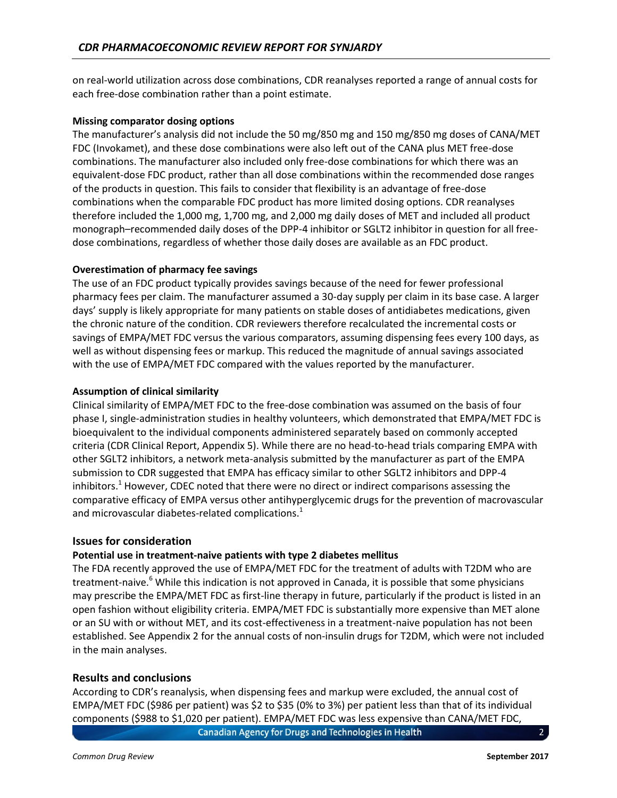on real-world utilization across dose combinations, CDR reanalyses reported a range of annual costs for each free-dose combination rather than a point estimate.

#### **Missing comparator dosing options**

The manufacturer's analysis did not include the 50 mg/850 mg and 150 mg/850 mg doses of CANA/MET FDC (Invokamet), and these dose combinations were also left out of the CANA plus MET free-dose combinations. The manufacturer also included only free-dose combinations for which there was an equivalent-dose FDC product, rather than all dose combinations within the recommended dose ranges of the products in question. This fails to consider that flexibility is an advantage of free-dose combinations when the comparable FDC product has more limited dosing options. CDR reanalyses therefore included the 1,000 mg, 1,700 mg, and 2,000 mg daily doses of MET and included all product monograph–recommended daily doses of the DPP-4 inhibitor or SGLT2 inhibitor in question for all freedose combinations, regardless of whether those daily doses are available as an FDC product.

#### **Overestimation of pharmacy fee savings**

The use of an FDC product typically provides savings because of the need for fewer professional pharmacy fees per claim. The manufacturer assumed a 30-day supply per claim in its base case. A larger days' supply is likely appropriate for many patients on stable doses of antidiabetes medications, given the chronic nature of the condition. CDR reviewers therefore recalculated the incremental costs or savings of EMPA/MET FDC versus the various comparators, assuming dispensing fees every 100 days, as well as without dispensing fees or markup. This reduced the magnitude of annual savings associated with the use of EMPA/MET FDC compared with the values reported by the manufacturer.

#### **Assumption of clinical similarity**

Clinical similarity of EMPA/MET FDC to the free-dose combination was assumed on the basis of four phase I, single-administration studies in healthy volunteers, which demonstrated that EMPA/MET FDC is bioequivalent to the individual components administered separately based on commonly accepted criteria (CDR Clinical Report, Appendix 5). While there are no head-to-head trials comparing EMPA with other SGLT2 inhibitors, a network meta-analysis submitted by the manufacturer as part of the EMPA submission to CDR suggested that EMPA has efficacy similar to other SGLT2 inhibitors and DPP-4 inhibitors. $1$  However, CDEC noted that there were no direct or indirect comparisons assessing the comparative efficacy of EMPA versus other antihyperglycemic drugs for the prevention of macrovascular and microvascular diabetes-related complications.<sup>1</sup>

#### **Issues for consideration**

#### **Potential use in treatment-naive patients with type 2 diabetes mellitus**

The FDA recently approved the use of EMPA/MET FDC for the treatment of adults with T2DM who are treatment-naive.<sup>6</sup> While this indication is not approved in Canada, it is possible that some physicians may prescribe the EMPA/MET FDC as first-line therapy in future, particularly if the product is listed in an open fashion without eligibility criteria. EMPA/MET FDC is substantially more expensive than MET alone or an SU with or without MET, and its cost-effectiveness in a treatment-naive population has not been established. Se[e Appendix 2](#page-17-0) for the annual costs of non-insulin drugs for T2DM, which were not included in the main analyses.

#### **Results and conclusions**

According to CDR's reanalysis, when dispensing fees and markup were excluded, the annual cost of EMPA/MET FDC (\$986 per patient) was \$2 to \$35 (0% to 3%) per patient less than that of its individual components (\$988 to \$1,020 per patient). EMPA/MET FDC was less expensive than CANA/MET FDC,

**Canadian Agency for Drugs and Technologies in Health**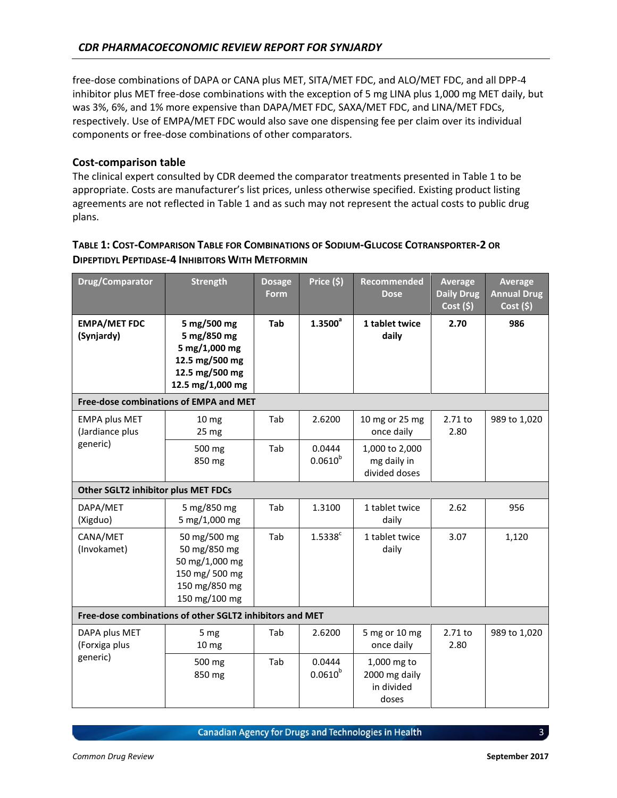free-dose combinations of DAPA or CANA plus MET, SITA/MET FDC, and ALO/MET FDC, and all DPP-4 inhibitor plus MET free-dose combinations with the exception of 5 mg LINA plus 1,000 mg MET daily, but was 3%, 6%, and 1% more expensive than DAPA/MET FDC, SAXA/MET FDC, and LINA/MET FDCs, respectively. Use of EMPA/MET FDC would also save one dispensing fee per claim over its individual components or free-dose combinations of other comparators.

#### **Cost-comparison table**

The clinical expert consulted by CDR deemed the comparator treatments presented in Table 1 to be appropriate. Costs are manufacturer's list prices, unless otherwise specified. Existing product listing agreements are not reflected in Table 1 and as such may not represent the actual costs to public drug plans.

# **TABLE 1: COST-COMPARISON TABLE FOR COMBINATIONS OF SODIUM-GLUCOSE COTRANSPORTER-2 OR DIPEPTIDYL PEPTIDASE-4 INHIBITORS WITH METFORMIN**

| Drug/Comparator                         | <b>Strength</b>                                                                                     | <b>Dosage</b><br><b>Form</b> | Price (\$)             | <b>Recommended</b><br><b>Dose</b>                   | Average<br><b>Daily Drug</b><br>$Cost($ \$) | Average<br><b>Annual Drug</b><br>Cost(5) |
|-----------------------------------------|-----------------------------------------------------------------------------------------------------|------------------------------|------------------------|-----------------------------------------------------|---------------------------------------------|------------------------------------------|
| <b>EMPA/MET FDC</b><br>(Synjardy)       | 5 mg/500 mg<br>5 mg/850 mg<br>5 mg/1,000 mg<br>12.5 mg/500 mg<br>12.5 mg/500 mg<br>12.5 mg/1,000 mg | Tab                          | $1.3500^{a}$           | 1 tablet twice<br>daily                             | 2.70                                        | 986                                      |
|                                         | Free-dose combinations of EMPA and MET                                                              |                              |                        |                                                     |                                             |                                          |
| <b>EMPA plus MET</b><br>(Jardiance plus | 10 <sub>mg</sub><br>25 <sub>mg</sub>                                                                | Tab                          | 2.6200                 | 10 mg or 25 mg<br>once daily                        | 2.71 to<br>2.80                             | 989 to 1,020                             |
| generic)                                | 500 mg<br>850 mg                                                                                    | Tab                          | 0.0444<br>$0.0610^{b}$ | 1,000 to 2,000<br>mg daily in<br>divided doses      |                                             |                                          |
| Other SGLT2 inhibitor plus MET FDCs     |                                                                                                     |                              |                        |                                                     |                                             |                                          |
| DAPA/MET<br>(Xigduo)                    | 5 mg/850 mg<br>5 mg/1,000 mg                                                                        | Tab                          | 1.3100                 | 1 tablet twice<br>daily                             | 2.62                                        | 956                                      |
| CANA/MET<br>(Invokamet)                 | 50 mg/500 mg<br>50 mg/850 mg<br>50 mg/1,000 mg<br>150 mg/ 500 mg<br>150 mg/850 mg<br>150 mg/100 mg  | Tab                          | $1.5338$ <sup>c</sup>  | 1 tablet twice<br>daily                             | 3.07                                        | 1,120                                    |
|                                         | Free-dose combinations of other SGLT2 inhibitors and MET                                            |                              |                        |                                                     |                                             |                                          |
| DAPA plus MET<br>(Forxiga plus          | 5 mg<br>10 <sub>mg</sub>                                                                            | Tab                          | 2.6200                 | 5 mg or 10 mg<br>once daily                         | 2.71 to<br>2.80                             | 989 to 1,020                             |
| generic)                                | 500 mg<br>850 mg                                                                                    | Tab                          | 0.0444<br>$0.0610^{b}$ | 1,000 mg to<br>2000 mg daily<br>in divided<br>doses |                                             |                                          |

**Canadian Agency for Drugs and Technologies in Health**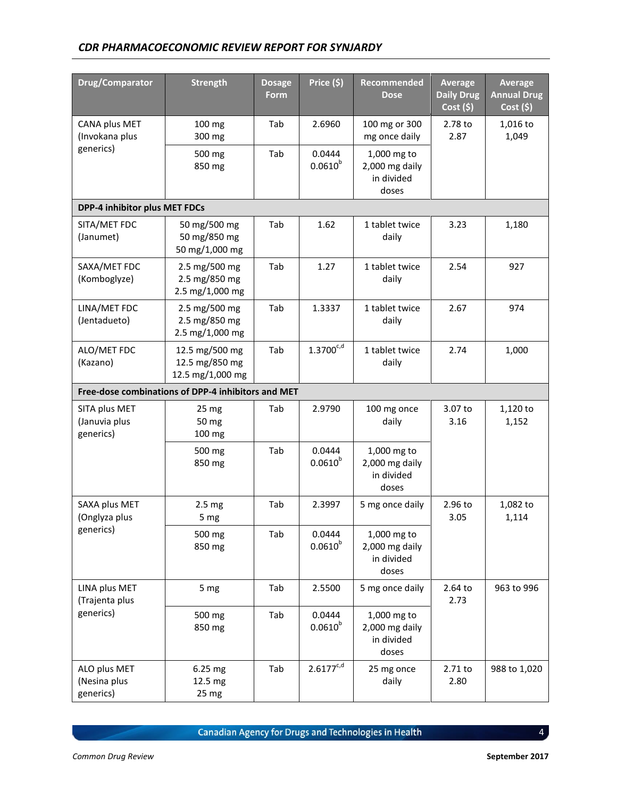| Drug/Comparator                             | <b>Strength</b>                                      | <b>Dosage</b><br>Form | Price $(5)$            | Recommended<br><b>Dose</b>                           | <b>Average</b><br><b>Daily Drug</b><br>Cost(5) | <b>Average</b><br><b>Annual Drug</b><br>Cost (\$) |
|---------------------------------------------|------------------------------------------------------|-----------------------|------------------------|------------------------------------------------------|------------------------------------------------|---------------------------------------------------|
| CANA plus MET<br>(Invokana plus             | 100 mg<br>300 mg                                     | Tab                   | 2.6960                 | 100 mg or 300<br>mg once daily                       | 2.78 to<br>2.87                                | 1,016 to<br>1,049                                 |
| generics)                                   | 500 mg<br>850 mg                                     | Tab                   | 0.0444<br>$0.0610^{b}$ | 1,000 mg to<br>2,000 mg daily<br>in divided<br>doses |                                                |                                                   |
| DPP-4 inhibitor plus MET FDCs               |                                                      |                       |                        |                                                      |                                                |                                                   |
| SITA/MET FDC<br>(Janumet)                   | 50 mg/500 mg<br>50 mg/850 mg<br>50 mg/1,000 mg       | Tab                   | 1.62                   | 1 tablet twice<br>daily                              | 3.23                                           | 1,180                                             |
| SAXA/MET FDC<br>(Komboglyze)                | 2.5 mg/500 mg<br>2.5 mg/850 mg<br>2.5 mg/1,000 mg    | Tab                   | 1.27                   | 1 tablet twice<br>daily                              | 2.54                                           | 927                                               |
| LINA/MET FDC<br>(Jentadueto)                | 2.5 mg/500 mg<br>2.5 mg/850 mg<br>2.5 mg/1,000 mg    | Tab                   | 1.3337                 | 1 tablet twice<br>daily                              | 2.67                                           | 974                                               |
| ALO/MET FDC<br>(Kazano)                     | 12.5 mg/500 mg<br>12.5 mg/850 mg<br>12.5 mg/1,000 mg | Tab                   | $1.3700^{c,d}$         | 1 tablet twice<br>daily                              | 2.74                                           | 1,000                                             |
|                                             | Free-dose combinations of DPP-4 inhibitors and MET   |                       |                        |                                                      |                                                |                                                   |
| SITA plus MET<br>(Januvia plus<br>generics) | 25 <sub>mg</sub><br>50 mg<br>100 mg                  | Tab                   | 2.9790                 | 100 mg once<br>daily                                 | 3.07 to<br>3.16                                | 1,120 to<br>1,152                                 |
|                                             | 500 mg<br>850 mg                                     | Tab                   | 0.0444<br>$0.0610^{b}$ | 1,000 mg to<br>2,000 mg daily<br>in divided<br>doses |                                                |                                                   |
| SAXA plus MET<br>(Onglyza plus              | 2.5 <sub>mg</sub><br>5 mg                            | Tab                   | 2.3997                 | 5 mg once daily                                      | 2.96 to<br>3.05                                | 1,082 to<br>1,114                                 |
| generics)                                   | 500 mg<br>850 mg                                     | Tab                   | 0.0444<br>$0.0610^{b}$ | 1,000 mg to<br>2,000 mg daily<br>in divided<br>doses |                                                |                                                   |
| LINA plus MET<br>(Trajenta plus             | 5 mg                                                 | Tab                   | 2.5500                 | 5 mg once daily                                      | 2.64 to<br>2.73                                | 963 to 996                                        |
| generics)                                   | 500 mg<br>850 mg                                     | Tab                   | 0.0444<br>$0.0610^{b}$ | 1,000 mg to<br>2,000 mg daily<br>in divided<br>doses |                                                |                                                   |
| ALO plus MET<br>(Nesina plus<br>generics)   | $6.25$ mg<br>12.5 mg<br>25 mg                        | Tab                   | $2.6177^{c,d}$         | 25 mg once<br>daily                                  | 2.71 to<br>2.80                                | 988 to 1,020                                      |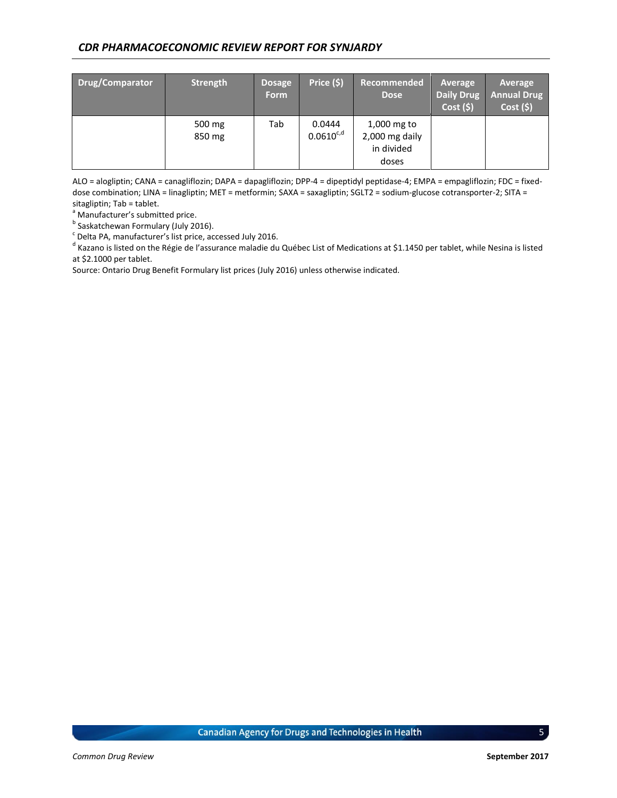| Drug/Comparator | <b>Strength</b>  | <b>Dosage</b><br><b>Form</b> | Price (\$)               | Recommended<br><b>Dose</b>                           | Average<br><b>Daily Drug</b><br>Cost(5) | Average<br><b>Annual Drug</b><br>Cost(5) |
|-----------------|------------------|------------------------------|--------------------------|------------------------------------------------------|-----------------------------------------|------------------------------------------|
|                 | 500 mg<br>850 mg | Tab                          | 0.0444<br>$0.0610^{c,d}$ | 1,000 mg to<br>2,000 mg daily<br>in divided<br>doses |                                         |                                          |

ALO = alogliptin; CANA = canagliflozin; DAPA = dapagliflozin; DPP-4 = dipeptidyl peptidase-4; EMPA = empagliflozin; FDC = fixeddose combination; LINA = linagliptin; MET = metformin; SAXA = saxagliptin; SGLT2 = sodium-glucose cotransporter-2; SITA = sitagliptin; Tab = tablet.

<sup>a</sup> Manufacturer's submitted price.

<sup>b</sup> Saskatchewan Formulary (July 2016).

 $\textdegree$  Delta PA, manufacturer's list price, accessed July 2016.

<sup>d</sup> Kazano is listed on the Régie de l'assurance maladie du Québec List of Medications at \$1.1450 per tablet, while Nesina is listed at \$2.1000 per tablet.

Source: Ontario Drug Benefit Formulary list prices (July 2016) unless otherwise indicated.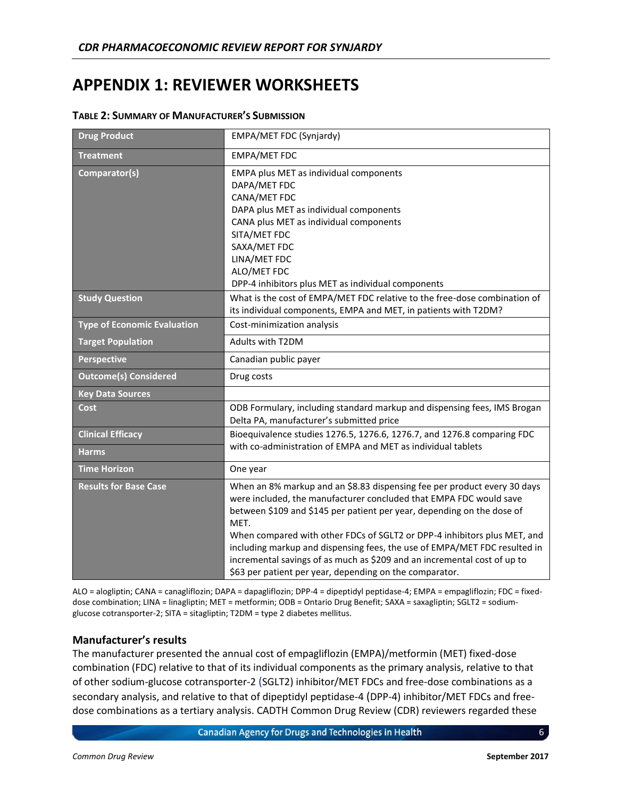# <span id="page-9-0"></span>**APPENDIX 1: REVIEWER WORKSHEETS**

| <b>Drug Product</b>                | EMPA/MET FDC (Synjardy)                                                                                                                                                                                                                                                                                                                                                                                                                                                                                                          |
|------------------------------------|----------------------------------------------------------------------------------------------------------------------------------------------------------------------------------------------------------------------------------------------------------------------------------------------------------------------------------------------------------------------------------------------------------------------------------------------------------------------------------------------------------------------------------|
| <b>Treatment</b>                   | <b>EMPA/MET FDC</b>                                                                                                                                                                                                                                                                                                                                                                                                                                                                                                              |
| Comparator(s)                      | EMPA plus MET as individual components<br>DAPA/MET FDC<br>CANA/MET FDC<br>DAPA plus MET as individual components<br>CANA plus MET as individual components<br>SITA/MET FDC<br>SAXA/MET FDC<br>LINA/MET FDC<br>ALO/MET FDC<br>DPP-4 inhibitors plus MET as individual components                                                                                                                                                                                                                                                  |
| <b>Study Question</b>              | What is the cost of EMPA/MET FDC relative to the free-dose combination of<br>its individual components, EMPA and MET, in patients with T2DM?                                                                                                                                                                                                                                                                                                                                                                                     |
| <b>Type of Economic Evaluation</b> | Cost-minimization analysis                                                                                                                                                                                                                                                                                                                                                                                                                                                                                                       |
| <b>Target Population</b>           | Adults with T2DM                                                                                                                                                                                                                                                                                                                                                                                                                                                                                                                 |
| <b>Perspective</b>                 | Canadian public payer                                                                                                                                                                                                                                                                                                                                                                                                                                                                                                            |
| <b>Outcome(s) Considered</b>       | Drug costs                                                                                                                                                                                                                                                                                                                                                                                                                                                                                                                       |
| <b>Key Data Sources</b>            |                                                                                                                                                                                                                                                                                                                                                                                                                                                                                                                                  |
| Cost                               | ODB Formulary, including standard markup and dispensing fees, IMS Brogan<br>Delta PA, manufacturer's submitted price                                                                                                                                                                                                                                                                                                                                                                                                             |
| <b>Clinical Efficacy</b>           | Bioequivalence studies 1276.5, 1276.6, 1276.7, and 1276.8 comparing FDC                                                                                                                                                                                                                                                                                                                                                                                                                                                          |
| <b>Harms</b>                       | with co-administration of EMPA and MET as individual tablets                                                                                                                                                                                                                                                                                                                                                                                                                                                                     |
| <b>Time Horizon</b>                | One year                                                                                                                                                                                                                                                                                                                                                                                                                                                                                                                         |
| <b>Results for Base Case</b>       | When an 8% markup and an \$8.83 dispensing fee per product every 30 days<br>were included, the manufacturer concluded that EMPA FDC would save<br>between \$109 and \$145 per patient per year, depending on the dose of<br>MET.<br>When compared with other FDCs of SGLT2 or DPP-4 inhibitors plus MET, and<br>including markup and dispensing fees, the use of EMPA/MET FDC resulted in<br>incremental savings of as much as \$209 and an incremental cost of up to<br>\$63 per patient per year, depending on the comparator. |

#### **TABLE 2: SUMMARY OF MANUFACTURER'S SUBMISSION**

ALO = alogliptin; CANA = canagliflozin; DAPA = dapagliflozin; DPP-4 = dipeptidyl peptidase-4; EMPA = empagliflozin; FDC = fixeddose combination; LINA = linagliptin; MET = metformin; ODB = Ontario Drug Benefit; SAXA = saxagliptin; SGLT2 = sodiumglucose cotransporter-2; SITA = sitagliptin; T2DM = type 2 diabetes mellitus.

## **Manufacturer's results**

The manufacturer presented the annual cost of empagliflozin (EMPA)/metformin (MET) fixed-dose combination (FDC) relative to that of its individual components as the primary analysis, relative to that of other sodium-glucose cotransporter-2 (SGLT2) inhibitor/MET FDCs and free-dose combinations as a secondary analysis, and relative to that of dipeptidyl peptidase-4 (DPP-4) inhibitor/MET FDCs and freedose combinations as a tertiary analysis. CADTH Common Drug Review (CDR) reviewers regarded these

**Canadian Agency for Drugs and Technologies in Health**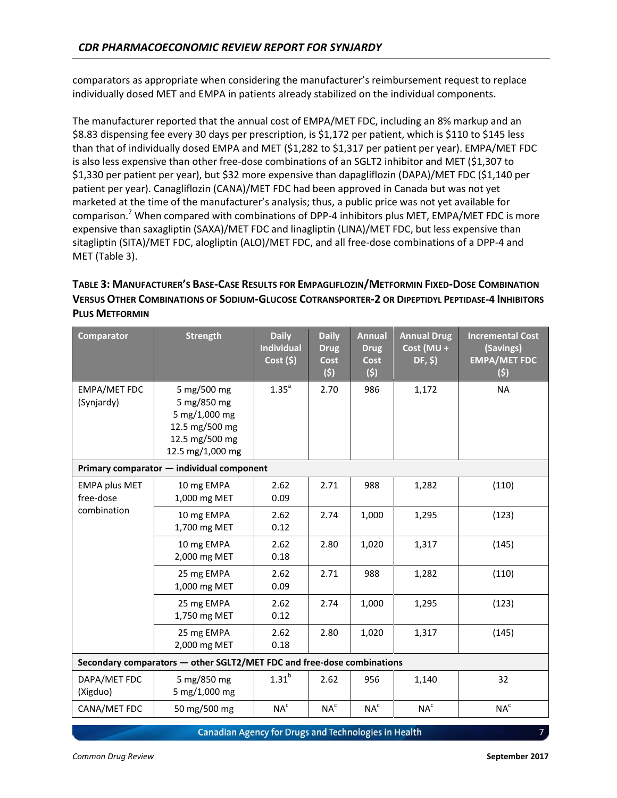comparators as appropriate when considering the manufacturer's reimbursement request to replace individually dosed MET and EMPA in patients already stabilized on the individual components.

The manufacturer reported that the annual cost of EMPA/MET FDC, including an 8% markup and an \$8.83 dispensing fee every 30 days per prescription, is \$1,172 per patient, which is \$110 to \$145 less than that of individually dosed EMPA and MET (\$1,282 to \$1,317 per patient per year). EMPA/MET FDC is also less expensive than other free-dose combinations of an SGLT2 inhibitor and MET (\$1,307 to \$1,330 per patient per year), but \$32 more expensive than dapagliflozin (DAPA)/MET FDC (\$1,140 per patient per year). Canagliflozin (CANA)/MET FDC had been approved in Canada but was not yet marketed at the time of the manufacturer's analysis; thus, a public price was not yet available for comparison.<sup>7</sup> When compared with combinations of DPP-4 inhibitors plus MET, EMPA/MET FDC is more expensive than saxagliptin (SAXA)/MET FDC and linagliptin (LINA)/MET FDC, but less expensive than sitagliptin (SITA)/MET FDC, alogliptin (ALO)/MET FDC, and all free-dose combinations of a DPP-4 and MET [\(Table 3\)](#page-10-0).

# <span id="page-10-0"></span>TABLE 3: MANUFACTURER'S BASE-CASE RESULTS FOR EMPAGLIFLOZIN/METFORMIN FIXED-DOSE COMBINATION VERSUS OTHER COMBINATIONS OF SODIUM-GLUCOSE COTRANSPORTER-2 OR DIPEPTIDYL PEPTIDASE-4 INHIBITORS **PLUS METFORMIN**

| <b>Comparator</b>                                | <b>Strength</b>                                                                                     | <b>Daily</b><br><b>Individual</b><br>Cost(5) | <b>Daily</b><br><b>Drug</b><br><b>Cost</b><br>(5) | <b>Annual</b><br><b>Drug</b><br><b>Cost</b><br>(5) | <b>Annual Drug</b><br>Cost (MU +<br>DF, \$) | <b>Incremental Cost</b><br>(Savings)<br><b>EMPA/MET FDC</b><br>(5) |
|--------------------------------------------------|-----------------------------------------------------------------------------------------------------|----------------------------------------------|---------------------------------------------------|----------------------------------------------------|---------------------------------------------|--------------------------------------------------------------------|
| <b>EMPA/MET FDC</b><br>(Synjardy)                | 5 mg/500 mg<br>5 mg/850 mg<br>5 mg/1,000 mg<br>12.5 mg/500 mg<br>12.5 mg/500 mg<br>12.5 mg/1,000 mg | 1.35 <sup>a</sup>                            | 2.70                                              | 986                                                | 1,172                                       | <b>NA</b>                                                          |
|                                                  | Primary comparator - individual component                                                           |                                              |                                                   |                                                    |                                             |                                                                    |
| <b>EMPA plus MET</b><br>free-dose<br>combination | 10 mg EMPA<br>1,000 mg MET                                                                          | 2.62<br>0.09                                 | 2.71                                              | 988                                                | 1,282                                       | (110)                                                              |
|                                                  | 10 mg EMPA<br>1,700 mg MET                                                                          | 2.62<br>0.12                                 | 2.74                                              | 1,000                                              | 1,295                                       | (123)                                                              |
|                                                  | 10 mg EMPA<br>2,000 mg MET                                                                          | 2.62<br>0.18                                 | 2.80                                              | 1,020                                              | 1,317                                       | (145)                                                              |
|                                                  | 25 mg EMPA<br>1,000 mg MET                                                                          | 2.62<br>0.09                                 | 2.71                                              | 988                                                | 1,282                                       | (110)                                                              |
|                                                  | 25 mg EMPA<br>1,750 mg MET                                                                          | 2.62<br>0.12                                 | 2.74                                              | 1,000                                              | 1,295                                       | (123)                                                              |
|                                                  | 25 mg EMPA<br>2,000 mg MET                                                                          | 2.62<br>0.18                                 | 2.80                                              | 1,020                                              | 1,317                                       | (145)                                                              |
|                                                  | Secondary comparators - other SGLT2/MET FDC and free-dose combinations                              |                                              |                                                   |                                                    |                                             |                                                                    |
| DAPA/MET FDC<br>(Xigduo)                         | 5 mg/850 mg<br>5 mg/1,000 mg                                                                        | 1.31 <sup>b</sup>                            | 2.62                                              | 956                                                | 1,140                                       | 32                                                                 |
| CANA/MET FDC                                     | 50 mg/500 mg                                                                                        | NA <sup>c</sup>                              | $NA^c$                                            | NA <sup>c</sup>                                    | $NA^c$                                      | $\mathsf{NA}^\mathsf{c}$                                           |

Canadian Agency for Drugs and Technologies in Health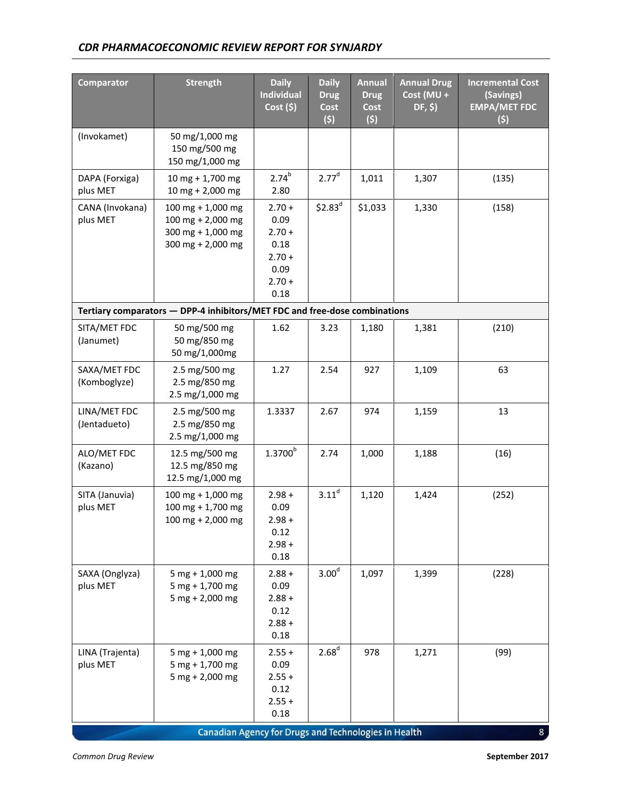| <b>Comparator</b>            | <b>Strength</b>                                                                                                            | <b>Daily</b><br><b>Individual</b><br>Cost(5)                                 | <b>Daily</b><br><b>Drug</b><br>Cost<br>(5) | <b>Annual</b><br><b>Drug</b><br>Cost<br>(5) | <b>Annual Drug</b><br>Cost (MU +<br>DF, \$) | <b>Incremental Cost</b><br>(Savings)<br><b>EMPA/MET FDC</b><br>(5) |
|------------------------------|----------------------------------------------------------------------------------------------------------------------------|------------------------------------------------------------------------------|--------------------------------------------|---------------------------------------------|---------------------------------------------|--------------------------------------------------------------------|
| (Invokamet)                  | 50 mg/1,000 mg<br>150 mg/500 mg<br>150 mg/1,000 mg                                                                         |                                                                              |                                            |                                             |                                             |                                                                    |
| DAPA (Forxiga)<br>plus MET   | $10$ mg + 1,700 mg<br>10 mg + 2,000 mg                                                                                     | $2.74^{b}$<br>2.80                                                           | 2.77 <sup>d</sup>                          | 1,011                                       | 1,307                                       | (135)                                                              |
| CANA (Invokana)<br>plus MET  | 100 mg + 1,000 mg<br>100 mg + 2,000 mg<br>300 mg + $1,000$ mg<br>300 mg + 2,000 mg                                         | $2.70 +$<br>0.09<br>$2.70 +$<br>0.18<br>$2.70 +$<br>0.09<br>$2.70 +$<br>0.18 | $$2.83^d$                                  | \$1,033                                     | 1,330                                       | (158)                                                              |
|                              | Tertiary comparators - DPP-4 inhibitors/MET FDC and free-dose combinations                                                 |                                                                              |                                            |                                             |                                             |                                                                    |
| SITA/MET FDC<br>(Janumet)    | 50 mg/500 mg<br>50 mg/850 mg<br>50 mg/1,000mg                                                                              | 1.62                                                                         | 3.23                                       | 1,180                                       | 1,381                                       | (210)                                                              |
| SAXA/MET FDC<br>(Komboglyze) | 2.5 mg/500 mg<br>2.5 mg/850 mg<br>2.5 mg/1,000 mg                                                                          | 1.27                                                                         | 2.54                                       | 927                                         | 1,109                                       | 63                                                                 |
| LINA/MET FDC<br>(Jentadueto) | 2.5 mg/500 mg<br>2.5 mg/850 mg<br>2.5 mg/1,000 mg                                                                          | 1.3337                                                                       | 2.67                                       | 974                                         | 1,159                                       | 13                                                                 |
| ALO/MET FDC<br>(Kazano)      | 12.5 mg/500 mg<br>12.5 mg/850 mg<br>12.5 mg/1,000 mg                                                                       | $1.3700^{\rm b}$                                                             | 2.74                                       | 1,000                                       | 1,188                                       | (16)                                                               |
| SITA (Januvia)<br>plus MET   | $100$ mg + $1,000$ mg<br>$100$ mg + 1,700 mg<br>100 mg + 2,000 mg                                                          | $2.98 +$<br>0.09<br>$2.98 +$<br>0.12<br>$2.98 +$<br>0.18                     | 3.11 <sup>d</sup>                          | 1,120                                       | 1,424                                       | (252)                                                              |
| SAXA (Onglyza)<br>plus MET   | $5 mg + 1,000 mg$<br>$5$ mg + 1,700 mg<br>$5 mg + 2,000 mg$                                                                | $2.88 +$<br>0.09<br>$2.88 +$<br>0.12<br>$2.88 +$<br>0.18                     | 3.00 <sup>d</sup>                          | 1,097                                       | 1,399                                       | (228)                                                              |
| LINA (Trajenta)<br>plus MET  | $5 mg + 1,000 mg$<br>$5$ mg + 1,700 mg<br>$5 mg + 2,000 mg$<br><b>Canadian Agency for Drugs and Technologies in Health</b> | $2.55 +$<br>0.09<br>$2.55 +$<br>0.12<br>$2.55 +$<br>0.18                     | 2.68 <sup>d</sup>                          | 978                                         | 1,271                                       | (99)<br>8 <sub>1</sub>                                             |

Canadian Agency for Drugs and Technologies in Health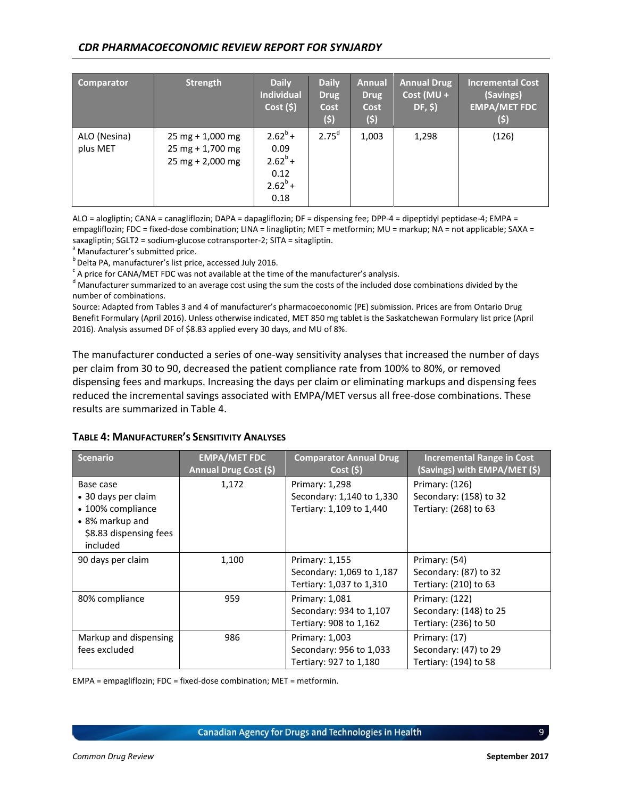| Comparator               | <b>Strength</b>                                                                                | <b>Daily</b><br><b>Individual</b><br>Cost(5)                       | <b>Daily</b><br><b>Drug</b><br>Cost<br>(5) | <b>Annual</b><br><b>Drug</b><br>Cost<br>(5) | <b>Annual Drug</b><br>$Cost (MU +$<br>DF, \$) | <b>Incremental Cost</b><br>(Savings)<br><b>EMPA/MET FDC</b><br>(5) |
|--------------------------|------------------------------------------------------------------------------------------------|--------------------------------------------------------------------|--------------------------------------------|---------------------------------------------|-----------------------------------------------|--------------------------------------------------------------------|
| ALO (Nesina)<br>plus MET | $25 \text{ mg} + 1,000 \text{ mg}$<br>$25$ mg + 1,700 mg<br>$25 \text{ mg} + 2,000 \text{ mg}$ | $2.62^{b}$ +<br>0.09<br>$2.62^{b}$ +<br>0.12<br>$2.62^b$ +<br>0.18 | 2.75 <sup>d</sup>                          | 1,003                                       | 1,298                                         | (126)                                                              |

ALO = alogliptin; CANA = canagliflozin; DAPA = dapagliflozin; DF = dispensing fee; DPP-4 = dipeptidyl peptidase-4; EMPA = empagliflozin; FDC = fixed-dose combination; LINA = linagliptin; MET = metformin; MU = markup; NA = not applicable; SAXA = saxagliptin; SGLT2 = sodium-glucose cotransporter-2; SITA = sitagliptin.

<sup>a</sup> Manufacturer's submitted price.

<sup>b</sup> Delta PA, manufacturer's list price, accessed July 2016.

 $\textdegree$  A price for CANA/MET FDC was not available at the time of the manufacturer's analysis.

<sup>d</sup> Manufacturer summarized to an average cost using the sum the costs of the included dose combinations divided by the number of combinations.

Source: Adapted from Tables 3 and 4 of manufacturer's pharmacoeconomic (PE) submission. Prices are from Ontario Drug Benefit Formulary (April 2016). Unless otherwise indicated, MET 850 mg tablet is the Saskatchewan Formulary list price (April 2016). Analysis assumed DF of \$8.83 applied every 30 days, and MU of 8%.

The manufacturer conducted a series of one-way sensitivity analyses that increased the number of days per claim from 30 to 90, decreased the patient compliance rate from 100% to 80%, or removed dispensing fees and markups. Increasing the days per claim or eliminating markups and dispensing fees reduced the incremental savings associated with EMPA/MET versus all free-dose combinations. These results are summarized i[n Table 4.](#page-12-0)

#### <span id="page-12-0"></span>**TABLE 4: MANUFACTURER'S SENSITIVITY ANALYSES**

| <b>Scenario</b>                                                                                                | <b>EMPA/MET FDC</b><br>Annual Drug Cost (\$) | <b>Comparator Annual Drug</b><br>Cost(5)                                | <b>Incremental Range in Cost</b><br>(Savings) with EMPA/MET (\$)  |
|----------------------------------------------------------------------------------------------------------------|----------------------------------------------|-------------------------------------------------------------------------|-------------------------------------------------------------------|
| Base case<br>• 30 days per claim<br>• 100% compliance<br>• 8% markup and<br>\$8.83 dispensing fees<br>included | 1,172                                        | Primary: 1,298<br>Secondary: 1,140 to 1,330<br>Tertiary: 1,109 to 1,440 | Primary: (126)<br>Secondary: (158) to 32<br>Tertiary: (268) to 63 |
| 90 days per claim                                                                                              | 1,100                                        | Primary: 1,155<br>Secondary: 1,069 to 1,187<br>Tertiary: 1,037 to 1,310 | Primary: (54)<br>Secondary: (87) to 32<br>Tertiary: (210) to 63   |
| 80% compliance                                                                                                 | 959                                          | Primary: 1,081<br>Secondary: 934 to 1,107<br>Tertiary: 908 to 1,162     | Primary: (122)<br>Secondary: (148) to 25<br>Tertiary: (236) to 50 |
| Markup and dispensing<br>fees excluded                                                                         | 986                                          | Primary: 1,003<br>Secondary: 956 to 1,033<br>Tertiary: 927 to 1,180     | Primary: (17)<br>Secondary: (47) to 29<br>Tertiary: (194) to 58   |

EMPA = empagliflozin; FDC = fixed-dose combination; MET = metformin.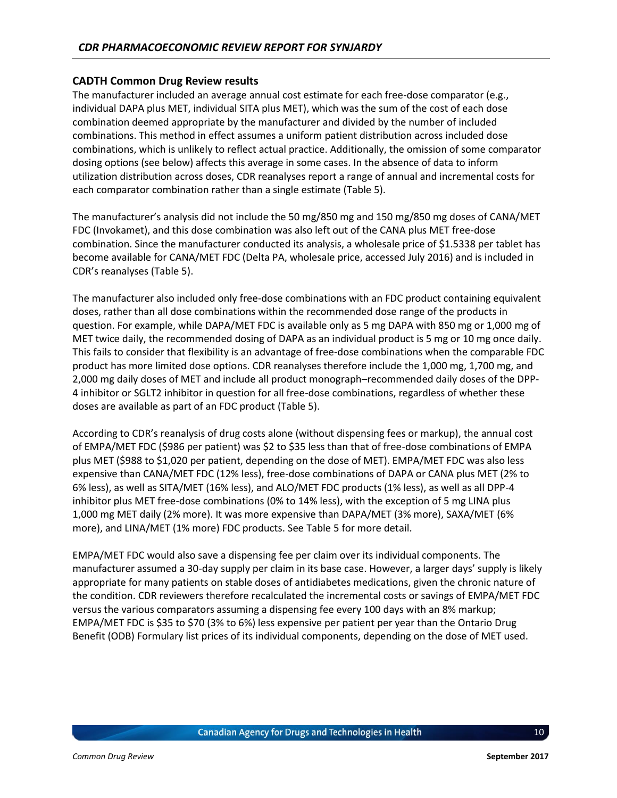#### **CADTH Common Drug Review results**

The manufacturer included an average annual cost estimate for each free-dose comparator (e.g., individual DAPA plus MET, individual SITA plus MET), which was the sum of the cost of each dose combination deemed appropriate by the manufacturer and divided by the number of included combinations. This method in effect assumes a uniform patient distribution across included dose combinations, which is unlikely to reflect actual practice. Additionally, the omission of some comparator dosing options (see below) affects this average in some cases. In the absence of data to inform utilization distribution across doses, CDR reanalyses report a range of annual and incremental costs for each comparator combination rather than a single estimate [\(Table 5\)](#page-14-0).

The manufacturer's analysis did not include the 50 mg/850 mg and 150 mg/850 mg doses of CANA/MET FDC (Invokamet), and this dose combination was also left out of the CANA plus MET free-dose combination. Since the manufacturer conducted its analysis, a wholesale price of \$1.5338 per tablet has become available for CANA/MET FDC (Delta PA, wholesale price, accessed July 2016) and is included in CDR's reanalyses ([Table 5\)](#page-14-0).

The manufacturer also included only free-dose combinations with an FDC product containing equivalent doses, rather than all dose combinations within the recommended dose range of the products in question. For example, while DAPA/MET FDC is available only as 5 mg DAPA with 850 mg or 1,000 mg of MET twice daily, the recommended dosing of DAPA as an individual product is 5 mg or 10 mg once daily. This fails to consider that flexibility is an advantage of free-dose combinations when the comparable FDC product has more limited dose options. CDR reanalyses therefore include the 1,000 mg, 1,700 mg, and 2,000 mg daily doses of MET and include all product monograph–recommended daily doses of the DPP-4 inhibitor or SGLT2 inhibitor in question for all free-dose combinations, regardless of whether these doses are available as part of an FDC product [\(Table 5\)](#page-14-0).

According to CDR's reanalysis of drug costs alone (without dispensing fees or markup), the annual cost of EMPA/MET FDC (\$986 per patient) was \$2 to \$35 less than that of free-dose combinations of EMPA plus MET (\$988 to \$1,020 per patient, depending on the dose of MET). EMPA/MET FDC was also less expensive than CANA/MET FDC (12% less), free-dose combinations of DAPA or CANA plus MET (2% to 6% less), as well as SITA/MET (16% less), and ALO/MET FDC products (1% less), as well as all DPP-4 inhibitor plus MET free-dose combinations (0% to 14% less), with the exception of 5 mg LINA plus 1,000 mg MET daily (2% more). It was more expensive than DAPA/MET (3% more), SAXA/MET (6% more), and LINA/MET (1% more) FDC products. See [Table 5](#page-14-0) for more detail.

EMPA/MET FDC would also save a dispensing fee per claim over its individual components. The manufacturer assumed a 30-day supply per claim in its base case. However, a larger days' supply is likely appropriate for many patients on stable doses of antidiabetes medications, given the chronic nature of the condition. CDR reviewers therefore recalculated the incremental costs or savings of EMPA/MET FDC versus the various comparators assuming a dispensing fee every 100 days with an 8% markup; EMPA/MET FDC is \$35 to \$70 (3% to 6%) less expensive per patient per year than the Ontario Drug Benefit (ODB) Formulary list prices of its individual components, depending on the dose of MET used.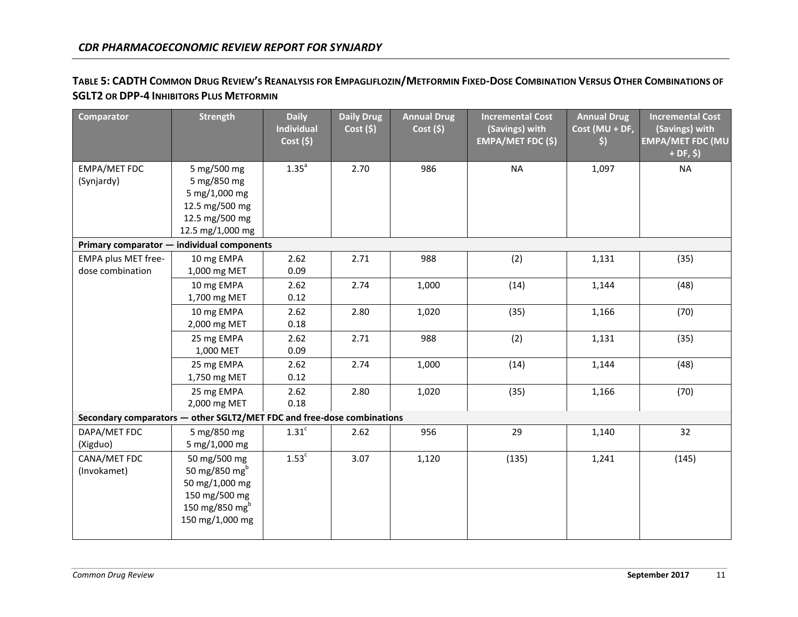# TABLE 5: CADTH COMMON DRUG REVIEW'S REANALYSIS FOR EMPAGLIFLOZIN/METFORMIN FIXED-DOSE COMBINATION VERSUS OTHER COMBINATIONS OF **SGLT2 OR DPP-4 INHIBITORS PLUS METFORMIN**

<span id="page-14-0"></span>

| <b>Comparator</b>                                                      | <b>Strength</b>                                                                                                               | <b>Daily</b><br><b>Individual</b><br>Cost(5) | <b>Daily Drug</b><br>$Cost($ \$) | <b>Annual Drug</b><br>Cost(5) | <b>Incremental Cost</b><br>(Savings) with<br><b>EMPA/MET FDC (\$)</b> | <b>Annual Drug</b><br>Cost (MU + DF,<br>\$) | <b>Incremental Cost</b><br>(Savings) with<br><b>EMPA/MET FDC (MU</b><br>$+DF, $)$ |
|------------------------------------------------------------------------|-------------------------------------------------------------------------------------------------------------------------------|----------------------------------------------|----------------------------------|-------------------------------|-----------------------------------------------------------------------|---------------------------------------------|-----------------------------------------------------------------------------------|
| EMPA/MET FDC<br>(Synjardy)                                             | 5 mg/500 mg<br>5 mg/850 mg<br>5 mg/1,000 mg<br>12.5 mg/500 mg<br>12.5 mg/500 mg<br>12.5 mg/1,000 mg                           | 1.35 <sup>a</sup>                            | 2.70                             | 986                           | <b>NA</b>                                                             | 1,097                                       | <b>NA</b>                                                                         |
| Primary comparator - individual components                             |                                                                                                                               |                                              |                                  |                               |                                                                       |                                             |                                                                                   |
| EMPA plus MET free-<br>dose combination                                | 10 mg EMPA<br>1,000 mg MET                                                                                                    | 2.62<br>0.09                                 | 2.71                             | 988                           | (2)                                                                   | 1,131                                       | (35)                                                                              |
|                                                                        | 10 mg EMPA<br>1,700 mg MET                                                                                                    | 2.62<br>0.12                                 | 2.74                             | 1,000                         | (14)                                                                  | 1,144                                       | (48)                                                                              |
|                                                                        | 10 mg EMPA<br>2,000 mg MET                                                                                                    | 2.62<br>0.18                                 | 2.80                             | 1,020                         | (35)                                                                  | 1,166                                       | (70)                                                                              |
|                                                                        | 25 mg EMPA<br>1,000 MET                                                                                                       | 2.62<br>0.09                                 | 2.71                             | 988                           | (2)                                                                   | 1,131                                       | (35)                                                                              |
|                                                                        | 25 mg EMPA<br>1,750 mg MET                                                                                                    | 2.62<br>0.12                                 | 2.74                             | 1,000                         | (14)                                                                  | 1,144                                       | (48)                                                                              |
|                                                                        | 25 mg EMPA<br>2,000 mg MET                                                                                                    | 2.62<br>0.18                                 | 2.80                             | 1,020                         | (35)                                                                  | 1,166                                       | (70)                                                                              |
| Secondary comparators - other SGLT2/MET FDC and free-dose combinations |                                                                                                                               |                                              |                                  |                               |                                                                       |                                             |                                                                                   |
| DAPA/MET FDC<br>(Xigduo)                                               | 5 mg/850 mg<br>5 mg/1,000 mg                                                                                                  | 1.31 <sup>c</sup>                            | 2.62                             | 956                           | 29                                                                    | 1,140                                       | 32                                                                                |
| CANA/MET FDC<br>(Invokamet)                                            | 50 mg/500 mg<br>50 mg/850 mg <sup>b</sup><br>50 mg/1,000 mg<br>150 mg/500 mg<br>150 mg/850 mg <sup>b</sup><br>150 mg/1,000 mg | 1.53 <sup>c</sup>                            | 3.07                             | 1,120                         | (135)                                                                 | 1,241                                       | (145)                                                                             |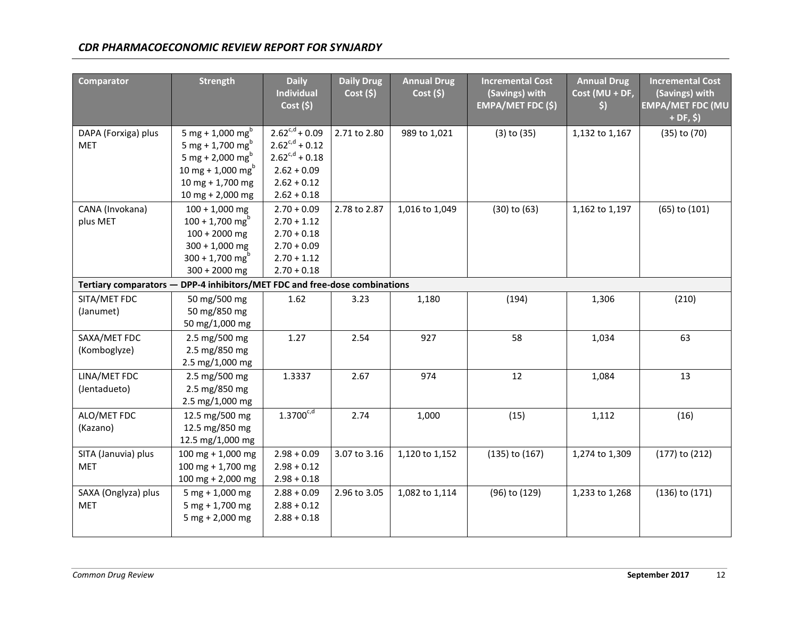| <b>Comparator</b>                                                          | <b>Strength</b>                                                                                                                                                         | <b>Daily</b><br><b>Individual</b><br>Cost(5)                                                                         | <b>Daily Drug</b><br>Cost(5) | <b>Annual Drug</b><br>Cost(5) | <b>Incremental Cost</b><br>(Savings) with<br><b>EMPA/MET FDC (\$)</b> | <b>Annual Drug</b><br>Cost (MU + DF,<br>$\left\langle \mathbf{5}\right\rangle$ | <b>Incremental Cost</b><br>(Savings) with<br><b>EMPA/MET FDC (MU</b><br>$+ DF, $)$ |
|----------------------------------------------------------------------------|-------------------------------------------------------------------------------------------------------------------------------------------------------------------------|----------------------------------------------------------------------------------------------------------------------|------------------------------|-------------------------------|-----------------------------------------------------------------------|--------------------------------------------------------------------------------|------------------------------------------------------------------------------------|
| DAPA (Forxiga) plus<br><b>MET</b>                                          | 5 mg + 1,000 mg <sup>b</sup><br>5 mg + 1,700 mg <sup>b</sup><br>5 mg + 2,000 mg <sup>b</sup><br>10 mg + 1,000 mg <sup>b</sup><br>$10$ mg + 1,700 mg<br>10 mg + 2,000 mg | $2.62^{c,d} + 0.09$<br>$2.62^{c,d} + 0.12$<br>$2.62^{c,d} + 0.18$<br>$2.62 + 0.09$<br>$2.62 + 0.12$<br>$2.62 + 0.18$ | 2.71 to 2.80                 | 989 to 1,021                  | $(3)$ to $(35)$                                                       | 1,132 to 1,167                                                                 | $(35)$ to $(70)$                                                                   |
| CANA (Invokana)<br>plus MET                                                | $100 + 1,000$ mg<br>$100 + 1,700$ mg <sup>b</sup><br>$100 + 2000$ mg<br>$300 + 1,000$ mg<br>$300 + 1,700$ mg <sup>b</sup><br>$300 + 2000$ mg                            | $2.70 + 0.09$<br>$2.70 + 1.12$<br>$2.70 + 0.18$<br>$2.70 + 0.09$<br>$2.70 + 1.12$<br>$2.70 + 0.18$                   | 2.78 to 2.87                 | 1,016 to 1,049                | $(30)$ to $(63)$                                                      | 1,162 to 1,197                                                                 | (65) to (101)                                                                      |
| Tertiary comparators - DPP-4 inhibitors/MET FDC and free-dose combinations |                                                                                                                                                                         |                                                                                                                      |                              |                               |                                                                       |                                                                                |                                                                                    |
| SITA/MET FDC<br>(Janumet)                                                  | 50 mg/500 mg<br>50 mg/850 mg<br>50 mg/1,000 mg                                                                                                                          | 1.62                                                                                                                 | 3.23                         | 1,180                         | (194)                                                                 | 1,306                                                                          | (210)                                                                              |
| SAXA/MET FDC<br>(Komboglyze)                                               | 2.5 mg/500 mg<br>2.5 mg/850 mg<br>2.5 mg/1,000 mg                                                                                                                       | 1.27                                                                                                                 | 2.54                         | 927                           | 58                                                                    | 1,034                                                                          | 63                                                                                 |
| LINA/MET FDC<br>(Jentadueto)                                               | 2.5 mg/500 mg<br>2.5 mg/850 mg<br>2.5 mg/1,000 mg                                                                                                                       | 1.3337                                                                                                               | 2.67                         | 974                           | 12                                                                    | 1,084                                                                          | 13                                                                                 |
| ALO/MET FDC<br>(Kazano)                                                    | 12.5 mg/500 mg<br>12.5 mg/850 mg<br>12.5 mg/1,000 mg                                                                                                                    | $1.3700^{c,d}$                                                                                                       | 2.74                         | 1,000                         | (15)                                                                  | 1,112                                                                          | (16)                                                                               |
| SITA (Januvia) plus<br><b>MET</b>                                          | 100 mg + 1,000 mg<br>100 mg + 1,700 mg<br>100 mg + 2,000 mg                                                                                                             | $2.98 + 0.09$<br>$2.98 + 0.12$<br>$2.98 + 0.18$                                                                      | 3.07 to 3.16                 | 1,120 to 1,152                | $(135)$ to $(167)$                                                    | 1,274 to 1,309                                                                 | $(177)$ to $(212)$                                                                 |
| SAXA (Onglyza) plus<br><b>MET</b>                                          | $5$ mg + 1,000 mg<br>$5 mg + 1,700 mg$<br>$5$ mg + 2,000 mg                                                                                                             | $2.88 + 0.09$<br>$2.88 + 0.12$<br>$2.88 + 0.18$                                                                      | 2.96 to 3.05                 | 1,082 to 1,114                | (96) to (129)                                                         | 1,233 to 1,268                                                                 | $(136)$ to $(171)$                                                                 |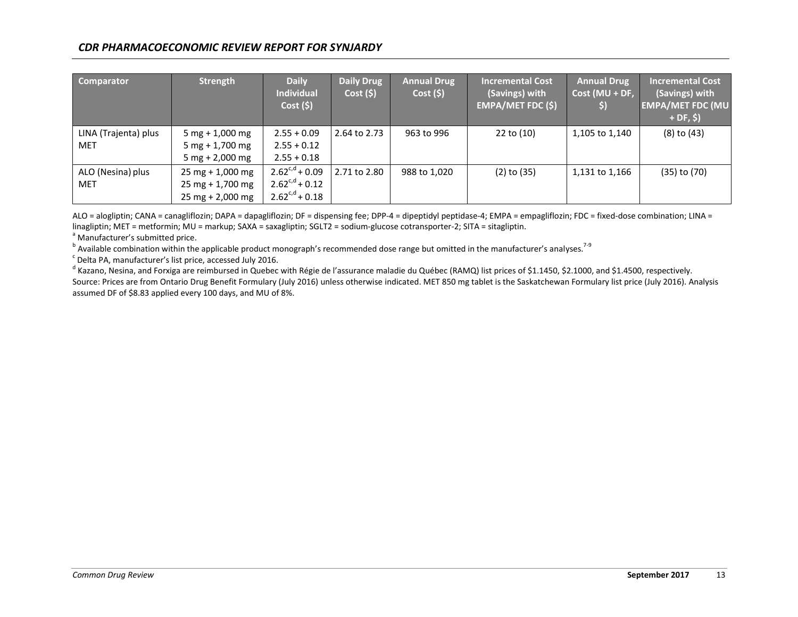| <b>Comparator</b>    | Strength                           | <b>Daily</b><br><b>Individual</b><br>Cost(5) | Daily Drug<br>Cost(5) | <b>Annual Drug</b><br>Cost(5) | <b>Incremental Cost</b><br>(Savings) with<br><b>EMPA/MET FDC (\$)</b> | <b>Annual Drug</b><br>$Cost (MU + DF,$<br>$\left\vert \mathsf{s}\right\rangle$ | <b>Incremental Cost</b><br>(Savings) with<br><b>EMPA/MET FDC (MU</b><br>$+DF, $)$ |
|----------------------|------------------------------------|----------------------------------------------|-----------------------|-------------------------------|-----------------------------------------------------------------------|--------------------------------------------------------------------------------|-----------------------------------------------------------------------------------|
| LINA (Trajenta) plus | 5 mg + $1,000$ mg                  | $2.55 + 0.09$                                | 2.64 to 2.73          | 963 to 996                    | 22 to (10)                                                            | 1,105 to 1,140                                                                 | $(8)$ to $(43)$                                                                   |
| <b>MET</b>           | $5 mg + 1,700 mg$                  | $2.55 + 0.12$                                |                       |                               |                                                                       |                                                                                |                                                                                   |
|                      | 5 mg + 2,000 mg                    | $2.55 + 0.18$                                |                       |                               |                                                                       |                                                                                |                                                                                   |
| ALO (Nesina) plus    | $25$ mg + 1,000 mg                 | $2.62^{c,d} + 0.09$                          | 2.71 to 2.80          | 988 to 1,020                  | $(2)$ to $(35)$                                                       | 1,131 to 1,166                                                                 | $(35)$ to $(70)$                                                                  |
| <b>MET</b>           | $25$ mg + 1,700 mg                 | $2.62^{c,d}$ + 0.12                          |                       |                               |                                                                       |                                                                                |                                                                                   |
|                      | $25 \text{ mg} + 2,000 \text{ mg}$ | $2.62^{c,d} + 0.18$                          |                       |                               |                                                                       |                                                                                |                                                                                   |

ALO = alogliptin; CANA = canagliflozin; DAPA = dapagliflozin; DF = dispensing fee; DPP-4 = dipeptidyl peptidase-4; EMPA = empagliflozin; FDC = fixed-dose combination; LINA = linagliptin; MET = metformin; MU = markup; SAXA = saxagliptin; SGLT2 = sodium-glucose cotransporter-2; SITA = sitagliptin.

<sup>a</sup> Manufacturer's submitted price.

<sup>b</sup> Available combination within the applicable product monograph's recommended dose range but omitted in the manufacturer's analyses.<sup>7-9</sup>

 $\textdegree$  Delta PA, manufacturer's list price, accessed July 2016.

<sup>d</sup> Kazano, Nesina, and Forxiga are reimbursed in Quebec with Régie de l'assurance maladie du Québec (RAMQ) list prices of \$1.1450, \$2.1000, and \$1.4500, respectively.

Source: Prices are from Ontario Drug Benefit Formulary (July 2016) unless otherwise indicated. MET 850 mg tablet is the Saskatchewan Formulary list price (July 2016). Analysis assumed DF of \$8.83 applied every 100 days, and MU of 8%.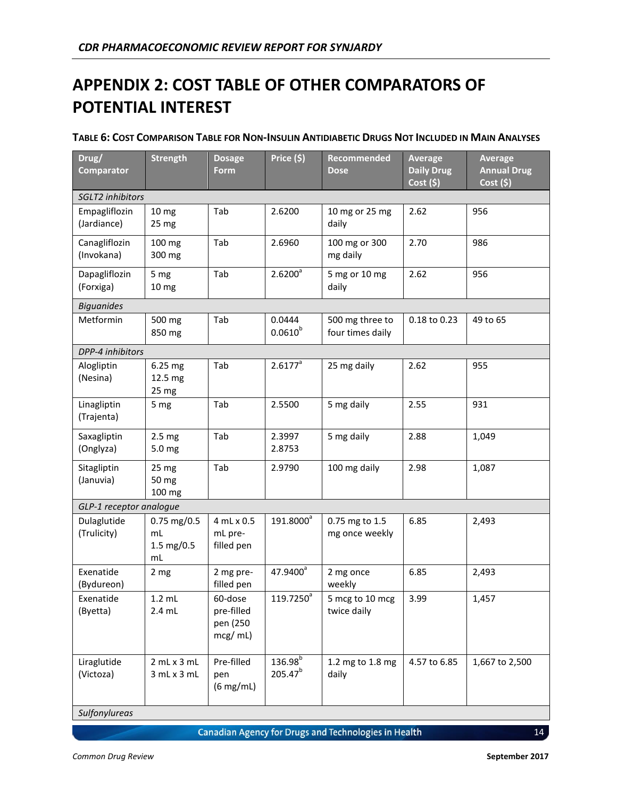# <span id="page-17-0"></span>**APPENDIX 2: COST TABLE OF OTHER COMPARATORS OF POTENTIAL INTEREST**

| Drug/<br><b>Comparator</b>   | <b>Strength</b>                         | <b>Dosage</b><br>Form                        | Price (\$)                          | Recommended<br><b>Dose</b>          | <b>Average</b><br><b>Daily Drug</b><br>$Cost($ \$) | Average<br><b>Annual Drug</b><br>Cost(5) |  |  |
|------------------------------|-----------------------------------------|----------------------------------------------|-------------------------------------|-------------------------------------|----------------------------------------------------|------------------------------------------|--|--|
| SGLT2 inhibitors             |                                         |                                              |                                     |                                     |                                                    |                                          |  |  |
| Empagliflozin<br>(Jardiance) | 10 <sub>mg</sub><br>25 mg               | Tab                                          | 2.6200                              | 10 mg or 25 mg<br>daily             | 2.62                                               | 956                                      |  |  |
| Canagliflozin<br>(Invokana)  | 100 mg<br>300 mg                        | Tab                                          | 2.6960                              | 100 mg or 300<br>mg daily           | 2.70                                               | 986                                      |  |  |
| Dapagliflozin<br>(Forxiga)   | 5 mg<br>10 <sub>mg</sub>                | Tab                                          | $2.6200^a$                          | 5 mg or 10 mg<br>daily              | 2.62                                               | 956                                      |  |  |
| <b>Biguanides</b>            |                                         |                                              |                                     |                                     |                                                    |                                          |  |  |
| Metformin                    | 500 mg<br>850 mg                        | Tab                                          | 0.0444<br>$0.0610^{b}$              | 500 mg three to<br>four times daily | 0.18 to 0.23                                       | 49 to 65                                 |  |  |
| DPP-4 inhibitors             |                                         |                                              |                                     |                                     |                                                    |                                          |  |  |
| Alogliptin<br>(Nesina)       | 6.25 mg<br>12.5 mg<br>25 mg             | Tab                                          | $2.6177^a$                          | 25 mg daily                         | 2.62                                               | 955                                      |  |  |
| Linagliptin<br>(Trajenta)    | 5 mg                                    | Tab                                          | 2.5500                              | 5 mg daily                          | 2.55                                               | 931                                      |  |  |
| Saxagliptin<br>(Onglyza)     | 2.5 <sub>mg</sub><br>5.0 mg             | Tab                                          | 2.3997<br>2.8753                    | 5 mg daily                          | 2.88                                               | 1,049                                    |  |  |
| Sitagliptin<br>(Januvia)     | 25 mg<br>50 mg<br>100 mg                | Tab                                          | 2.9790                              | 100 mg daily                        | 2.98                                               | 1,087                                    |  |  |
| GLP-1 receptor analogue      |                                         |                                              |                                     |                                     |                                                    |                                          |  |  |
| Dulaglutide<br>(Trulicity)   | $0.75$ mg/0.5<br>mL<br>1.5 mg/0.5<br>mL | 4 mL x 0.5<br>mL pre-<br>filled pen          | 191.8000 <sup>a</sup>               | 0.75 mg to 1.5<br>mg once weekly    | 6.85                                               | 2,493                                    |  |  |
| Exenatide<br>(Bydureon)      | 2 <sub>mg</sub>                         | 2 mg pre-<br>filled pen                      | 47.9400 <sup>a</sup>                | 2 mg once<br>weekly                 | 6.85                                               | 2,493                                    |  |  |
| Exenatide<br>(Byetta)        | $1.2$ mL<br>$2.4$ mL                    | 60-dose<br>pre-filled<br>pen (250<br>mcg/mL) | 119.7250 <sup>a</sup>               | 5 mcg to 10 mcg<br>twice daily      | 3.99                                               | 1,457                                    |  |  |
| Liraglutide<br>(Victoza)     | 2 mL x 3 mL<br>3 mL x 3 mL              | Pre-filled<br>pen<br>(6 mg/mL)               | 136.98 <sup>b</sup><br>$205.47^{b}$ | 1.2 mg to 1.8 mg<br>daily           | 4.57 to 6.85                                       | 1,667 to 2,500                           |  |  |

#### TABLE 6: COST COMPARISON TABLE FOR NON-INSULIN ANTIDIABETIC DRUGS NOT INCLUDED IN MAIN ANALYSES

*Sulfonylureas*

**Canadian Agency for Drugs and Technologies in Health**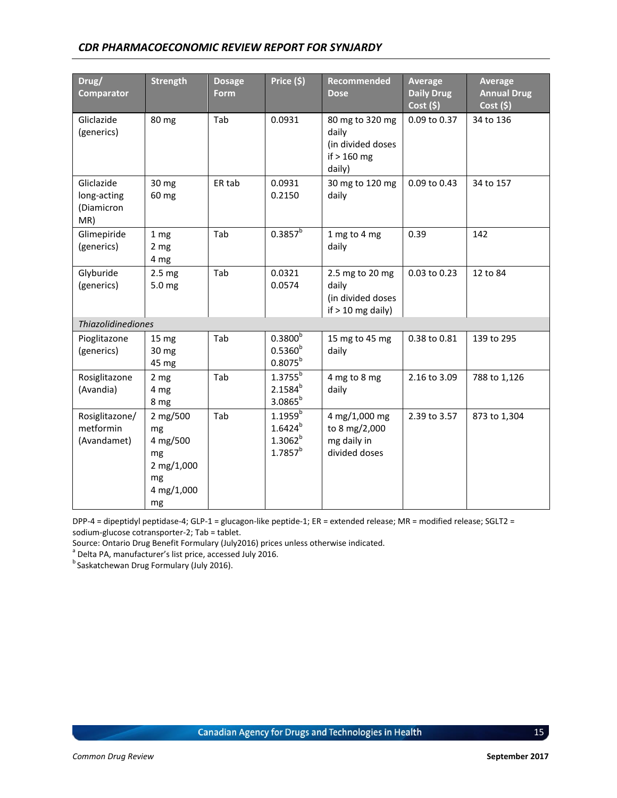| Drug/<br><b>Comparator</b>                     | <b>Strength</b>                                                          | <b>Dosage</b><br>Form | Price (\$)                                                   | <b>Recommended</b><br><b>Dose</b>                                        | Average<br><b>Daily Drug</b><br>Cost(5) | Average<br><b>Annual Drug</b><br>Cost(5) |  |  |
|------------------------------------------------|--------------------------------------------------------------------------|-----------------------|--------------------------------------------------------------|--------------------------------------------------------------------------|-----------------------------------------|------------------------------------------|--|--|
| Gliclazide<br>(generics)                       | 80 mg                                                                    | Tab                   | 0.0931                                                       | 80 mg to 320 mg<br>daily<br>(in divided doses<br>if $> 160$ mg<br>daily) | 0.09 to 0.37                            | 34 to 136                                |  |  |
| Gliclazide<br>long-acting<br>(Diamicron<br>MR) | 30 mg<br>60 mg                                                           | ER tab                | 0.0931<br>0.2150                                             | 30 mg to 120 mg<br>daily                                                 | 0.09 to 0.43                            | 34 to 157                                |  |  |
| Glimepiride<br>(generics)                      | 1 <sub>mg</sub><br>2 <sub>mg</sub><br>4 mg                               | Tab                   | $0.3857^b$                                                   | 1 mg to 4 mg<br>daily                                                    | 0.39                                    | 142                                      |  |  |
| Glyburide<br>(generics)                        | 2.5 <sub>mg</sub><br>5.0 mg                                              | Tab                   | 0.0321<br>0.0574                                             | 2.5 mg to 20 mg<br>daily<br>(in divided doses<br>if $> 10$ mg daily)     | 0.03 to 0.23                            | 12 to 84                                 |  |  |
|                                                | <b>Thiazolidinediones</b>                                                |                       |                                                              |                                                                          |                                         |                                          |  |  |
| Pioglitazone<br>(generics)                     | 15 mg<br>30 mg<br>45 mg                                                  | Tab                   | $0.3800^{b}$<br>$0.5360^{b}$<br>$0.8075^{b}$                 | 15 mg to 45 mg<br>daily                                                  | 0.38 to 0.81                            | 139 to 295                               |  |  |
| Rosiglitazone<br>(Avandia)                     | 2 <sub>mg</sub><br>4 mg<br>8 mg                                          | Tab                   | $1.3755^{b}$<br>$2.1584^{b}$<br>$3.0865^{b}$                 | 4 mg to 8 mg<br>daily                                                    | 2.16 to 3.09                            | 788 to 1,126                             |  |  |
| Rosiglitazone/<br>metformin<br>(Avandamet)     | 2 mg/500<br>mg<br>4 mg/500<br>mg<br>2 mg/1,000<br>mg<br>4 mg/1,000<br>mg | Tab                   | $1.1959^{b}$<br>$1.6424^{b}$<br>$1.3062^{b}$<br>$1.7857^{b}$ | 4 mg/1,000 mg<br>to 8 mg/2,000<br>mg daily in<br>divided doses           | 2.39 to 3.57                            | 873 to 1,304                             |  |  |

DPP-4 = dipeptidyl peptidase-4; GLP-1 = glucagon-like peptide-1; ER = extended release; MR = modified release; SGLT2 = sodium-glucose cotransporter-2; Tab = tablet.

Source: Ontario Drug Benefit Formulary (July2016) prices unless otherwise indicated. a Delta PA, manufacturer's list price, accessed July 2016.

bena Fry manufacture. Encyclopedia b<br>Saskatchewan Drug Formulary (July 2016).